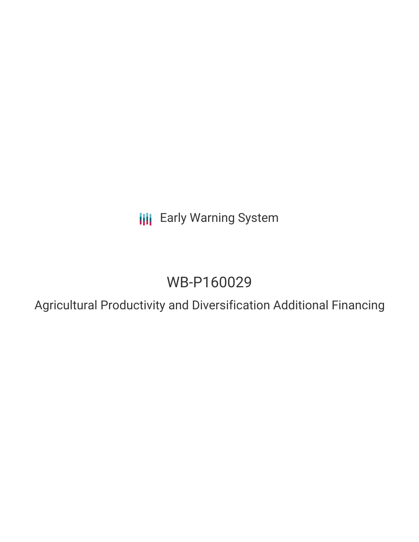**III** Early Warning System

# WB-P160029

Agricultural Productivity and Diversification Additional Financing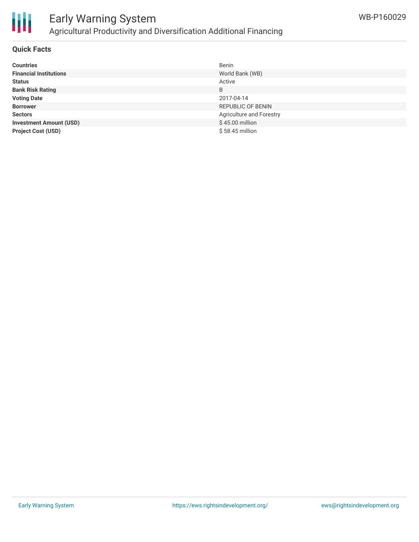

## Early Warning System Agricultural Productivity and Diversification Additional Financing

### **Quick Facts**

| <b>Countries</b>               | Benin                    |
|--------------------------------|--------------------------|
| <b>Financial Institutions</b>  | World Bank (WB)          |
| <b>Status</b>                  | Active                   |
| <b>Bank Risk Rating</b>        | B                        |
| <b>Voting Date</b>             | 2017-04-14               |
| <b>Borrower</b>                | <b>REPUBLIC OF BENIN</b> |
| <b>Sectors</b>                 | Agriculture and Forestry |
| <b>Investment Amount (USD)</b> | \$45.00 million          |
| <b>Project Cost (USD)</b>      | $$58.45$ million         |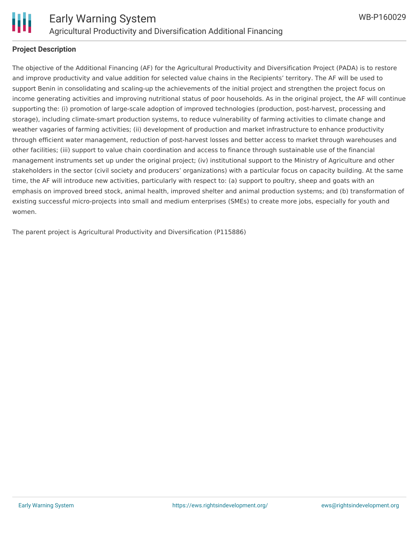

### **Project Description**

The objective of the Additional Financing (AF) for the Agricultural Productivity and Diversification Project (PADA) is to restore and improve productivity and value addition for selected value chains in the Recipients' territory. The AF will be used to support Benin in consolidating and scaling-up the achievements of the initial project and strengthen the project focus on income generating activities and improving nutritional status of poor households. As in the original project, the AF will continue supporting the: (i) promotion of large-scale adoption of improved technologies (production, post-harvest, processing and storage), including climate-smart production systems, to reduce vulnerability of farming activities to climate change and weather vagaries of farming activities; (ii) development of production and market infrastructure to enhance productivity through efficient water management, reduction of post-harvest losses and better access to market through warehouses and other facilities; (iii) support to value chain coordination and access to finance through sustainable use of the financial management instruments set up under the original project; (iv) institutional support to the Ministry of Agriculture and other stakeholders in the sector (civil society and producers' organizations) with a particular focus on capacity building. At the same time, the AF will introduce new activities, particularly with respect to: (a) support to poultry, sheep and goats with an emphasis on improved breed stock, animal health, improved shelter and animal production systems; and (b) transformation of existing successful micro-projects into small and medium enterprises (SMEs) to create more jobs, especially for youth and women.

The parent project is Agricultural Productivity and Diversification (P115886)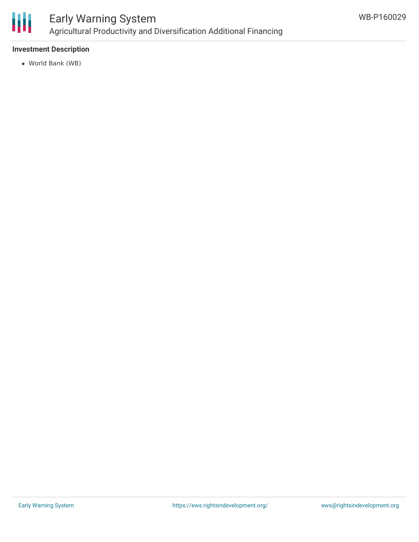

### Early Warning System Agricultural Productivity and Diversification Additional Financing

### **Investment Description**

World Bank (WB)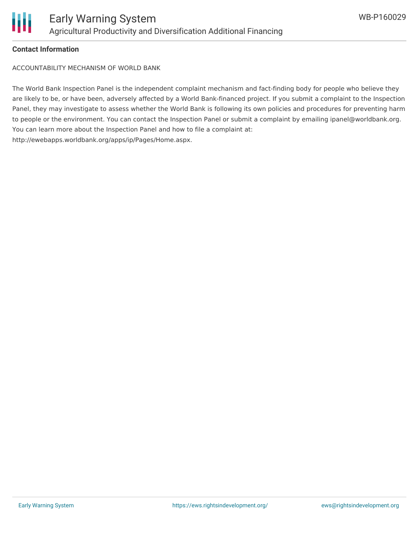

### **Contact Information**

ACCOUNTABILITY MECHANISM OF WORLD BANK

The World Bank Inspection Panel is the independent complaint mechanism and fact-finding body for people who believe they are likely to be, or have been, adversely affected by a World Bank-financed project. If you submit a complaint to the Inspection Panel, they may investigate to assess whether the World Bank is following its own policies and procedures for preventing harm to people or the environment. You can contact the Inspection Panel or submit a complaint by emailing ipanel@worldbank.org. You can learn more about the Inspection Panel and how to file a complaint at: http://ewebapps.worldbank.org/apps/ip/Pages/Home.aspx.